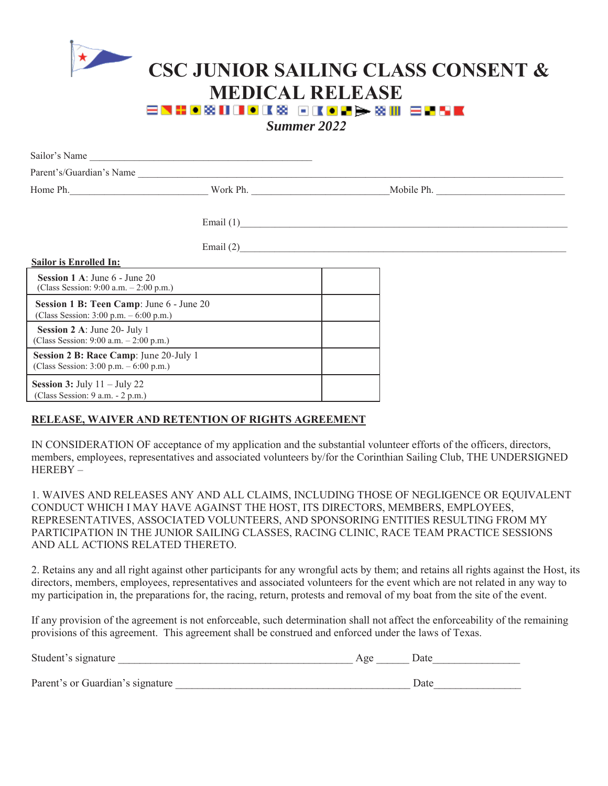

## **CSC JUNIOR SAILING CLASS CONSENT & MEDICAL RELEASE**<br>ENHOBOOKS GIODS EN ENSE

*Summer 2022*

| Sailor's Name                                                                        |                        |  |
|--------------------------------------------------------------------------------------|------------------------|--|
| Parent's/Guardian's Name                                                             |                        |  |
| Home Ph.                                                                             | Work Ph.<br>Mobile Ph. |  |
|                                                                                      | Email $(1)$            |  |
|                                                                                      | Email (2)              |  |
| <b>Sailor is Enrolled In:</b>                                                        |                        |  |
| <b>Session 1 A:</b> June $6$ - June $20$<br>(Class Session: 9:00 a.m. $- 2:00$ p.m.) |                        |  |
| Session 1 B: Teen Camp: June 6 - June 20<br>(Class Session: 3:00 p.m. – 6:00 p.m.)   |                        |  |
| Session 2 A: June 20- July 1<br>(Class Session: 9:00 a.m. - 2:00 p.m.)               |                        |  |
| Session 2 B: Race Camp: June 20-July 1<br>(Class Session: $3:00$ p.m. $-6:00$ p.m.)  |                        |  |
| <b>Session 3:</b> July $11 -$ July 22<br>(Class Session: 9 a.m. - 2 p.m.)            |                        |  |
|                                                                                      |                        |  |

## **RELEASE, WAIVER AND RETENTION OF RIGHTS AGREEMENT**

IN CONSIDERATION OF acceptance of my application and the substantial volunteer efforts of the officers, directors, members, employees, representatives and associated volunteers by/for the Corinthian Sailing Club, THE UNDERSIGNED HEREBY –

1. WAIVES AND RELEASES ANY AND ALL CLAIMS, INCLUDING THOSE OF NEGLIGENCE OR EQUIVALENT CONDUCT WHICH I MAY HAVE AGAINST THE HOST, ITS DIRECTORS, MEMBERS, EMPLOYEES, REPRESENTATIVES, ASSOCIATED VOLUNTEERS, AND SPONSORING ENTITIES RESULTING FROM MY PARTICIPATION IN THE JUNIOR SAILING CLASSES, RACING CLINIC, RACE TEAM PRACTICE SESSIONS AND ALL ACTIONS RELATED THERETO.

2. Retains any and all right against other participants for any wrongful acts by them; and retains all rights against the Host, its directors, members, employees, representatives and associated volunteers for the event which are not related in any way to my participation in, the preparations for, the racing, return, protests and removal of my boat from the site of the event.

If any provision of the agreement is not enforceable, such determination shall not affect the enforceability of the remaining provisions of this agreement. This agreement shall be construed and enforced under the laws of Texas.

| Student's signature              | Age | Date |
|----------------------------------|-----|------|
| Parent's or Guardian's signature |     | Date |